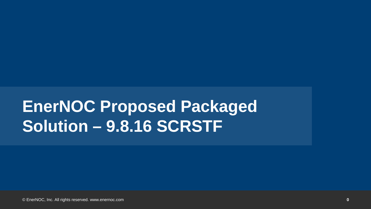## **EnerNOC Proposed Packaged Solution – 9.8.16 SCRSTF**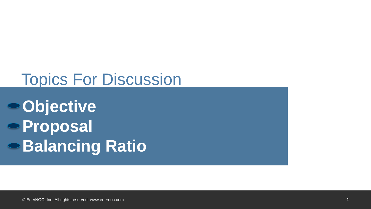### Topics For Discussion

**Objective Proposal Balancing Ratio**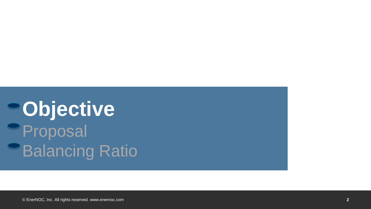# **PObjective Proposal Balancing Ratio**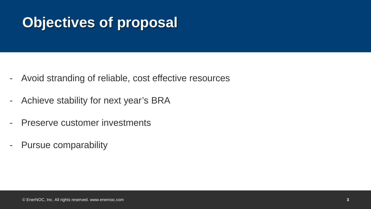### **Objectives of proposal**

- Avoid stranding of reliable, cost effective resources
- Achieve stability for next year's BRA
- Preserve customer investments
- Pursue comparability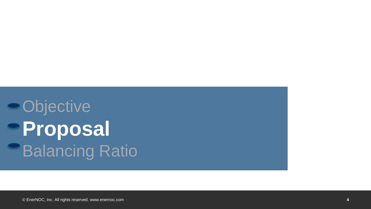Objective **Proposal Balancing Ratio**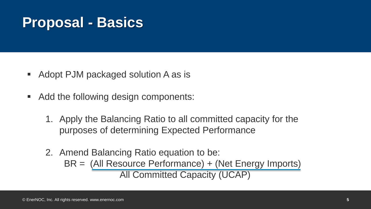#### **Proposal - Basics**

- Adopt PJM packaged solution A as is
- Add the following design components:
	- 1. Apply the Balancing Ratio to all committed capacity for the purposes of determining Expected Performance
	- 2. Amend Balancing Ratio equation to be:
		- BR = (All Resource Performance) + (Net Energy Imports) All Committed Capacity (UCAP)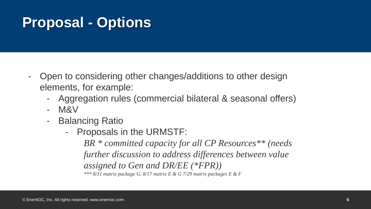#### **Proposal - Options**

- Open to considering other changes/additions to other design elements, for example:
	- Aggregation rules (commercial bilateral & seasonal offers)
	- M&V
	- Balancing Ratio
		- Proposals in the URMSTF:

*BR \* committed capacity for all CP Resources\*\* (needs further discussion to address differences between value assigned to Gen and DR/EE (\*FPR)) \*\*\* 8/31 matrix package G, 8/17 matrix E & G 7/29 matrix packages E & F*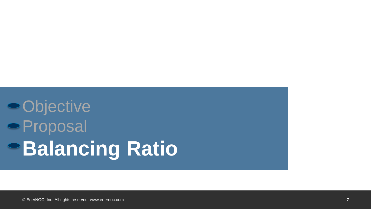## **Objective** Proposal **Balancing Ratio**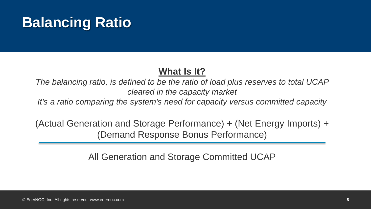#### **What Is It?**

*The balancing ratio, is defined to be the ratio of load plus reserves to total UCAP cleared in the capacity market* 

*It's a ratio comparing the system's need for capacity versus committed capacity*

(Actual Generation and Storage Performance) + (Net Energy Imports) + (Demand Response Bonus Performance)

All Generation and Storage Committed UCAP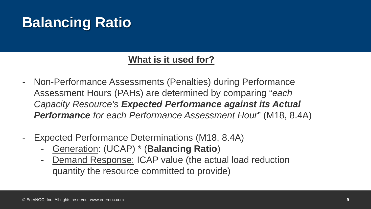#### **What is it used for?**

- Non-Performance Assessments (Penalties) during Performance Assessment Hours (PAHs) are determined by comparing "*each Capacity Resource's Expected Performance against its Actual Performance for each Performance Assessment Hour*" (M18, 8.4A)
- Expected Performance Determinations (M18, 8.4A)
	- Generation: (UCAP) \* (**Balancing Ratio**)
	- Demand Response: ICAP value (the actual load reduction quantity the resource committed to provide)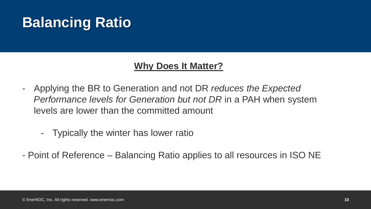#### **Why Does It Matter?**

- Applying the BR to Generation and not DR *reduces the Expected Performance levels for Generation but not DR* in a PAH when system levels are lower than the committed amount
	- Typically the winter has lower ratio
- Point of Reference Balancing Ratio applies to all resources in ISO NE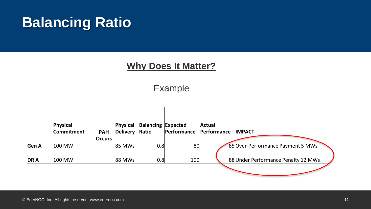#### **Why Does It Matter?**

Example